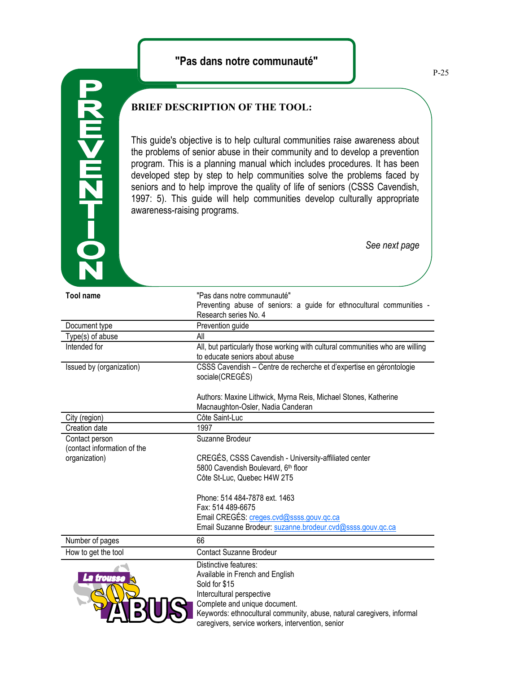

## **BRIEF DESCRIPTION OF THE TOOL:**

This guide's objective is to help cultural communities raise awareness about the problems of senior abuse in their community and to develop a prevention program. This is a planning manual which includes procedures. It has been developed step by step to help communities solve the problems faced by seniors and to help improve the quality of life of seniors (CSSS Cavendish, 1997: 5). This guide will help communities develop culturally appropriate awareness-raising programs.

*See next page*

| <b>Tool name</b>                              | "Pas dans notre communauté"                                                                                     |
|-----------------------------------------------|-----------------------------------------------------------------------------------------------------------------|
|                                               | Preventing abuse of seniors: a guide for ethnocultural communities -                                            |
|                                               | Research series No. 4                                                                                           |
| Document type                                 | Prevention guide                                                                                                |
| Type(s) of abuse                              | All                                                                                                             |
| Intended for                                  | All, but particularly those working with cultural communities who are willing<br>to educate seniors about abuse |
| Issued by (organization)                      | CSSS Cavendish - Centre de recherche et d'expertise en gérontologie<br>sociale(CREGÉS)                          |
|                                               | Authors: Maxine Lithwick, Myrna Reis, Michael Stones, Katherine<br>Macnaughton-Osler, Nadia Canderan            |
| City (region)                                 | Côte Saint-Luc                                                                                                  |
| Creation date                                 | 1997                                                                                                            |
| Contact person<br>(contact information of the | Suzanne Brodeur                                                                                                 |
| organization)                                 | CREGÉS, CSSS Cavendish - University-affiliated center                                                           |
|                                               | 5800 Cavendish Boulevard, 6th floor                                                                             |
|                                               | Côte St-Luc, Quebec H4W 2T5                                                                                     |
|                                               | Phone: 514 484-7878 ext. 1463                                                                                   |
|                                               | Fax: 514 489-6675                                                                                               |
|                                               | Email CREGÉS: creges.cvd@ssss.gouv.gc.ca                                                                        |
|                                               | Email Suzanne Brodeur: suzanne.brodeur.cvd@ssss.gouv.qc.ca                                                      |
| Number of pages                               | 66                                                                                                              |
| How to get the tool                           | <b>Contact Suzanne Brodeur</b>                                                                                  |
| La trousse                                    | Distinctive features:                                                                                           |
|                                               | Available in French and English                                                                                 |
|                                               | Sold for \$15                                                                                                   |
|                                               | Intercultural perspective                                                                                       |
|                                               | Complete and unique document.                                                                                   |
|                                               | Keywords: ethnocultural community, abuse, natural caregivers, informal                                          |
|                                               | caregivers, service workers, intervention, senior                                                               |